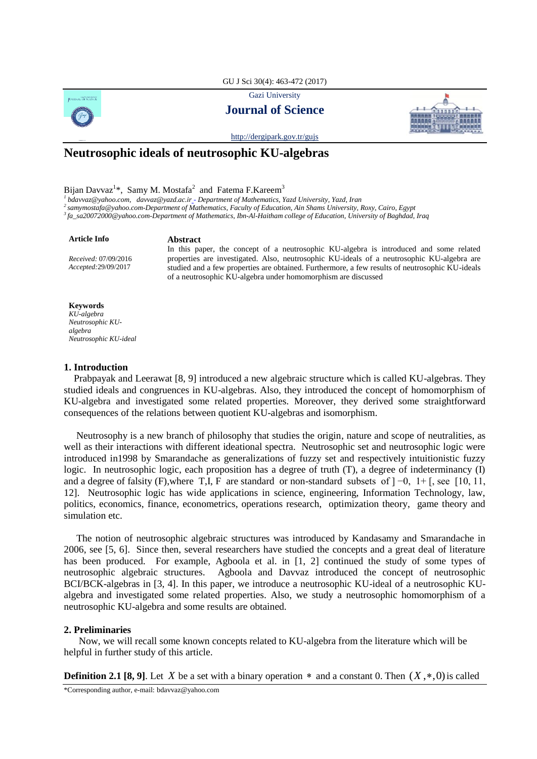GU J Sci 30(4): 463-472 (2017)



Gazi University





<http://dergipark.gov.tr/gujs>

# **Neutrosophic ideals of neutrosophic KU-algebras**

Bijan Davvaz<sup>1\*</sup>, Samy M. Mostafa<sup>2</sup> and Fatema F. Kareem<sup>3</sup>

<sup>1</sup> bdavvaz@yahoo.com, davvaz@yazd.ac.ir\_- Department of Mathematics, Yazd University, Yazd, Iran<br><sup>2</sup> samymostafa@yahoo.com-Department of Mathematics, Faculty of Education, Ain Shams University, Roxy, Cairo, Egypt

*3 fa\_sa20072000@yahoo.com-Department of Mathematics, Ibn-Al-Haitham college of Education, University of Baghdad, Iraq* 

#### **Article Info Abstract**

*Received:* 07/09/2016 *Accepted:*29/09/2017

In this paper, the concept of a neutrosophic KU-algebra is introduced and some related properties are investigated. Also, neutrosophic KU-ideals of a neutrosophic KU-algebra are studied and a few properties are obtained. Furthermore, a few results of neutrosophic KU-ideals of a neutrosophic KU-algebra under homomorphism are discussed

**Keywords**

*KU-algebra Neutrosophic KUalgebra Neutrosophic KU-ideal*

# **1. Introduction**

 Prabpayak and Leerawat [8, 9] introduced a new algebraic structure which is called KU-algebras. They studied ideals and congruences in KU-algebras. Also, they introduced the concept of homomorphism of KU-algebra and investigated some related properties. Moreover, they derived some straightforward consequences of the relations between quotient KU-algebras and isomorphism.

 Neutrosophy is a new branch of philosophy that studies the origin, nature and scope of neutralities, as well as their interactions with different ideational spectra. Neutrosophic set and neutrosophic logic were introduced in1998 by Smarandache as generalizations of fuzzy set and respectively intuitionistic fuzzy logic. In neutrosophic logic, each proposition has a degree of truth (T), a degree of indeterminancy (I) and a degree of falsity (F),where T,I, F are standard or non-standard subsets of  $]-0$ ,  $1+$  [, see [10, 11, 12]. Neutrosophic logic has wide applications in science, engineering, Information Technology, law, politics, economics, finance, econometrics, operations research, optimization theory, game theory and simulation etc.

 The notion of neutrosophic algebraic structures was introduced by Kandasamy and Smarandache in 2006, see [5, 6]. Since then, several researchers have studied the concepts and a great deal of literature has been produced. For example, Agboola et al. in [1, 2] continued the study of some types of neutrosophic algebraic structures. Agboola and Davvaz introduced the concept of neutrosophic BCI/BCK-algebras in [3, 4]. In this paper, we introduce a neutrosophic KU-ideal of a neutrosophic KUalgebra and investigated some related properties. Also, we study a neutrosophic homomorphism of a neutrosophic KU-algebra and some results are obtained.

# **2. Preliminaries**

 Now, we will recall some known concepts related to KU-algebra from the literature which will be helpful in further study of this article.

**Definition 2.1 [8, 9]**. Let X be a set with a binary operation  $*$  and a constant 0. Then  $(X, * , 0)$  is called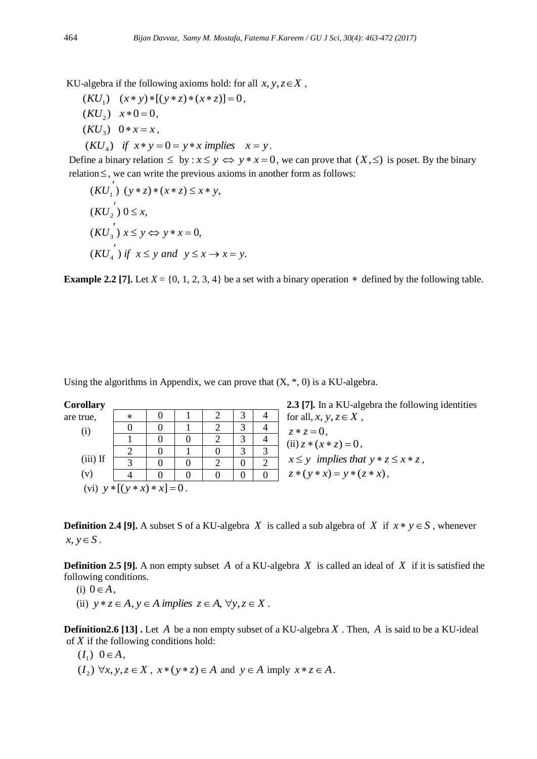KU-algebra if the following axioms hold: for all  $x, y, z \in X$ ,

 $(KU_1)$   $(x * y) * [(y * z) * (x * z)] = 0,$  $(KU_2)$   $x * 0 = 0$ ,  $(KU_3)$  0 \*  $x = x$ ,  $(KU_4)$  *if*  $x * y = 0 = y * x$  *implies*  $x = y$ .

Define a binary relation  $\leq$  by :  $x \leq y \Leftrightarrow y * x = 0$ , we can prove that  $(X, \leq)$  is poset. By the binary  $relation \leq$ , we can write the previous axioms in another form as follows:

$$
(KU_1^{'})(y * z)*(x * z) \le x * y,
$$
  
\n
$$
(KU_2^{'}) 0 \le x,
$$
  
\n
$$
(KU_3^{'}) x \le y \Leftrightarrow y * x = 0,
$$
  
\n
$$
(KU_4^{'}) if x \le y \text{ and } y \le x \to x = y.
$$

**Example 2.2** [7]. Let  $X = \{0, 1, 2, 3, 4\}$  be a set with a binary operation  $*$  defined by the following table.

Using the algorithms in Appendix, we can prove that  $(X, *, 0)$  is a KU-algebra.

| <b>Corollary</b> |                                |          |   |          |              | 2.3 [7]. In a KU-algebra the following identities |
|------------------|--------------------------------|----------|---|----------|--------------|---------------------------------------------------|
| are true,        | $\ast$                         | 0        |   |          | 4            | for all, x, y, $z \in X$ ,                        |
| (i)              |                                | $\theta$ |   | 3        | 4            | $z * z = 0$ ,                                     |
|                  |                                | 0        | 0 | 3        | 4            | (ii) $z * (x * z) = 0$ ,                          |
|                  |                                | $\theta$ |   | 3        | 3            |                                                   |
| $(iii)$ If       | 2                              |          |   | 0        | ◠            | $x \le y$ implies that $y * z \le x * z$ ,        |
| (v)              |                                |          | 0 | $\Omega$ | $\mathbf{0}$ | $z * (y * x) = y * (z * x),$                      |
|                  | (vi) $y * [(y * x) * x] = 0$ . |          |   |          |              |                                                   |
|                  |                                |          |   |          |              |                                                   |

**Definition 2.4 [9].** A subset S of a KU-algebra X is called a sub algebra of X if  $x * y \in S$ , whenever  $x, y \in S$ .

**Definition 2.5 [9].** A non empty subset A of a KU-algebra  $X$  is called an ideal of  $X$  if it is satisfied the following conditions.

 $(i)$   $0 \in A$ ,

(ii)  $y * z \in A$ ,  $y \in A$  *implies*  $z \in A$ ,  $\forall y, z \in X$ .

**Definition 2.6 [13]**  $\blacksquare$  Let  $A$  be a non empty subset of a KU-algebra  $X$ . Then,  $A$  is said to be a KU-ideal of *X* if the following conditions hold:

$$
(I_1) \quad 0 \in A,
$$
  
\n
$$
(I_2) \quad \forall x, y, z \in X, \ x * (y * z) \in A \text{ and } y \in A \text{ imply } x * z \in A.
$$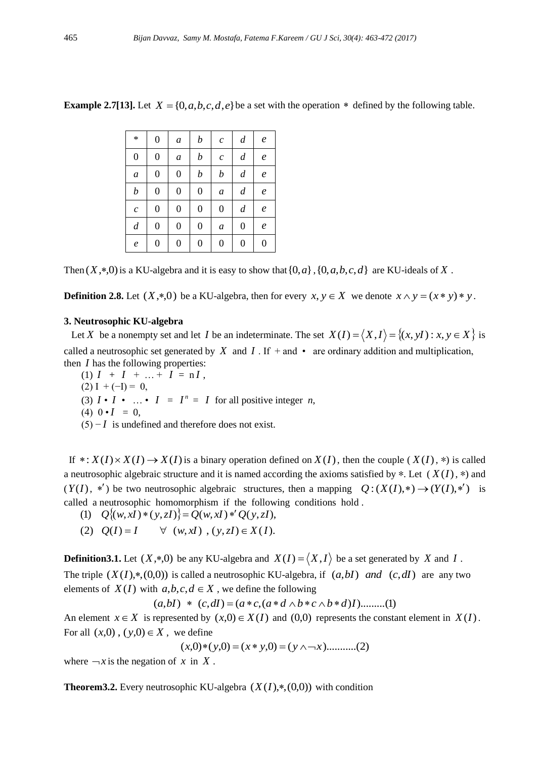|  | <b>Example 2.7[13].</b> Let $X = \{0, a, b, c, d, e\}$ be a set with the operation $*$ defined by the following table. |  |
|--|------------------------------------------------------------------------------------------------------------------------|--|
|--|------------------------------------------------------------------------------------------------------------------------|--|

| $\ast$            | $\boldsymbol{0}$ | $\boldsymbol{a}$ | $\boldsymbol{b}$ | $\boldsymbol{c}$  | $\boldsymbol{d}$ | $\ell$           |
|-------------------|------------------|------------------|------------------|-------------------|------------------|------------------|
| $\overline{0}$    | $\boldsymbol{0}$ | a                | $\boldsymbol{b}$ | $\mathcal{C}_{0}$ | $\boldsymbol{d}$ | $\boldsymbol{e}$ |
| $\boldsymbol{a}$  | $\boldsymbol{0}$ | $\boldsymbol{0}$ | $\boldsymbol{b}$ | $\boldsymbol{b}$  | $\boldsymbol{d}$ | $\boldsymbol{e}$ |
| $\boldsymbol{b}$  | $\boldsymbol{0}$ | $\boldsymbol{0}$ | $\boldsymbol{0}$ | $\boldsymbol{a}$  | $\boldsymbol{d}$ | $\ell$           |
| $\mathcal{C}_{0}$ | $\boldsymbol{0}$ | $\boldsymbol{0}$ | $\boldsymbol{0}$ | $\overline{0}$    | $\boldsymbol{d}$ | $\ell$           |
| $\boldsymbol{d}$  | $\boldsymbol{0}$ | $\boldsymbol{0}$ | $\boldsymbol{0}$ | $\boldsymbol{a}$  | $\boldsymbol{0}$ | $\ell$           |
| $\boldsymbol{e}$  | $\boldsymbol{0}$ | $\boldsymbol{0}$ | $\boldsymbol{0}$ | $\overline{0}$    | $\boldsymbol{0}$ | $\boldsymbol{0}$ |

Then  $(X, *0)$  is a KU-algebra and it is easy to show that  $\{0, a\}$ ,  $\{0, a, b, c, d\}$  are KU-ideals of X.

**Definition 2.8.** Let  $(X, *0)$  be a KU-algebra, then for every  $x, y \in X$  we denote  $x \wedge y = (x * y) * y$ .

# **3. Neutrosophic KU-algebra**

Let X be a nonempty set and let I be an indeterminate. The set  $X(I) = \langle X, I \rangle = \{ (x, yI) : x, y \in X \}$  is called a neutrosophic set generated by  $X$  and  $I$ . If  $+$  and  $\cdot$  are ordinary addition and multiplication, then  $I$  has the following properties:

(1)  $I + I + ... + I = nI$ ,  $(2) I + (-I) = 0,$ (3)  $I \cdot I \cdot ... \cdot I = I^n = I$  for all positive integer *n*,  $(4) 0 \cdot I = 0,$  $(5)$  – *I* is undefined and therefore does not exist.

If  $*: X(I) \times X(I) \rightarrow X(I)$  is a binary operation defined on  $X(I)$ , then the couple  $(X(I), *)$  is called a neutrosophic algebraic structure and it is named according the axioms satisfied by ∗. Let ( *X*(*I*), ∗) and  $(Y(I), *')$  be two neutrosophic algebraic structures, then a mapping  $Q:(X(I),*) \to (Y(I),*)'$  is called a neutrosophic homomorphism if the following conditions hold .

- (1)  $Q_1^{\{w, xI\}}*(y, zI) = Q(w, xI) * Q(y, zI),$
- (2)  $Q(I) = I \quad \forall (w, xI) , (y, zI) \in X(I).$

**Definition3.1.** Let  $(X, *0)$  be any KU-algebra and  $X(I) = \langle X, I \rangle$  be a set generated by X and I.

The triple  $(X(I), *,(0,0))$  is called a neutrosophic KU-algebra, if  $(a,bI)$  *and*  $(c,dI)$  are any two elements of  $X(I)$  with  $a,b,c,d \in X$ , we define the following

$$
(a,bI) * (c,dI) = (a * c, (a * d \wedge b * c \wedge b * d)I) \dots (1)
$$

An element  $x \in X$  is represented by  $(x,0) \in X(I)$  and  $(0,0)$  represents the constant element in  $X(I)$ . For all  $(x,0)$ ,  $(y,0) \in X$ , we define

$$
(x,0)*(y,0)=(x*y,0)=(y\wedge\neg x)...........(2)
$$

where  $-x$  is the negation of x in X.

**Theorem3.2.** Every neutrosophic KU-algebra  $(X(I), *, (0,0))$  with condition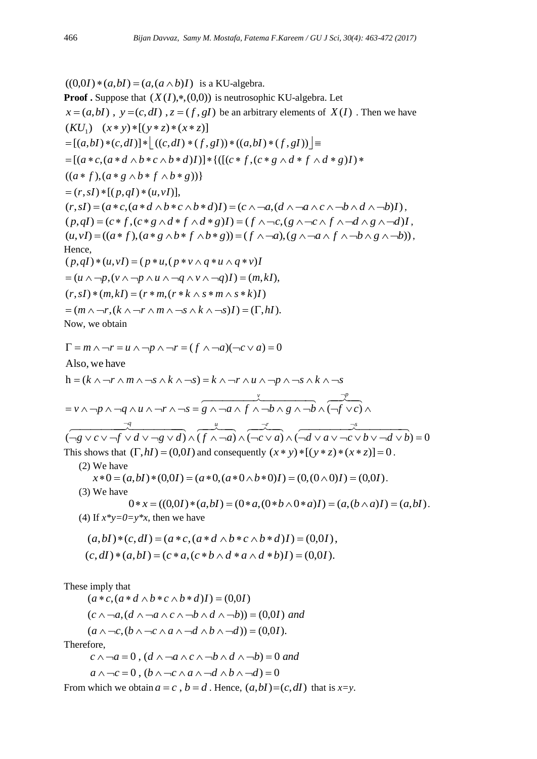$((0,0) * (a,b) = (a,(a \wedge b)I)$  is a KU-algebra. **Proof** . Suppose that  $(X(I), *, (0,0))$  is neutrosophic KU-algebra. Let  $x = (a, bI)$ ,  $y = (c, dI)$ ,  $z = (f, gI)$  be an arbitrary elements of  $X(I)$ . Then we have  $(KU_1)$   $(x * y) * [(y * z) * (x * z)]$  $=[(a,bI)*(c,dI)]*[(c,dI)*(f,gl))*(a,bI)*(f,gl)] \equiv$  $(r, sI) * [(p, qI) * (u, vI)],$  $((a * f), (a * g \wedge b * f \wedge b * g))$  $=[(a * c, (a * d \wedge b * c \wedge b * d))] * \{([c * f, (c * g \wedge d * f \wedge d * g)]) *$  $(a * c, (a * d \wedge b * c \wedge d$ <br>  $* f), (a * g \wedge b * f \wedge f)$ <br>  $r, sI) * [(p, qI) * (u, v]$  $=(r, sI) * [(p, qI) *$  $(r, sI) = (a * c, (a * d \wedge b * c \wedge b * d)I) = (c \wedge \neg a, (d \wedge \neg a \wedge c \wedge \neg b \wedge d \wedge \neg b)I)$ ,  $(p,qI) = (c*f, (c*g \wedge d*f \wedge d*g)I) = (f \wedge \neg c, (g \wedge \neg c \wedge f \wedge \neg d \wedge g \wedge \neg d)I$ ,  $(r, sI) = (a * c, (a * d \wedge b * c \wedge b * d)I) = (c \wedge \neg a, (d \wedge \neg a \wedge c \wedge \neg b \wedge d \wedge \neg b)I),$ <br>  $(p, qI) = (c * f, (c * g \wedge d * f \wedge d * g)I) = (f \wedge \neg c, (g \wedge \neg c \wedge f \wedge \neg d \wedge g \wedge \neg d)I,$ <br>  $(u, vI) = ((a * f), (a * g \wedge b * f \wedge b * g)) = (f \wedge \neg a), (g \wedge \neg a \wedge f \wedge \neg b \wedge g \wedge \neg b)),$ <br> Hence,  $=(m \wedge \neg r, (k \wedge \neg r \wedge m \wedge \neg s \wedge k \wedge \neg s)I) = (\Gamma, hI).$  $(r, sI) * (m, kI) = (r * m, (r * k \wedge s * m \wedge s * k)I)$  $f(x) = (u \land \neg p, (v \land \neg p \land u \land \neg q \land v \land \neg q)I) = (m, kI),$ <br>  $r, sI) * (m, kI) = (r * m, (r * k \land s * m \land s * k)I)$ (*u*, *v*<sub>1</sub>) = ((*a*\* *f*), (*a*\* *g*  $\land$  *b*\* *f*)  $\land$  *b*\* *g*)) = (*j*  $\land$ <br>
Hence,<br>
(*p*,*qI*) \* (*u*,*vI*) = (*p* \* *u*, (*p* \* *v*  $\land$  *q* \* *u*  $\land$  *q* \* *v*)*I*  $(p,qI)*(u,vI) = (p*u,(p*v \land q*u \land q*v)I)$ <br>=  $(u \land \neg p, (v \land \neg p \land u \land \neg q \land v \land \neg q)I) = (m,kl)$ Now, we obtain

$$
\Gamma = m \wedge \neg r = u \wedge \neg p \wedge \neg r = (f \wedge \neg a)(\neg c \vee a) = 0
$$
  
Also, we have  

$$
h = (k \wedge \neg r \wedge m \wedge \neg s \wedge k \wedge \neg s) = k \wedge \neg r \wedge u \wedge \neg p \wedge \neg s \wedge k \wedge \neg s
$$

$$
= v \wedge \neg p \wedge \neg q \wedge u \wedge \neg r \wedge \neg s = \frac{y}{g \wedge \neg a \wedge f \wedge \neg b \wedge g \wedge \neg b} \wedge \frac{\neg p}{(f \vee c)} \wedge \frac{\neg p}{(f \vee c)} \wedge \frac{\neg p}{(f \vee c \vee f \vee d) \wedge (f \wedge \neg a) \wedge (f \wedge \neg a) \wedge (\neg c \vee a) \wedge (\neg d \vee a \vee \neg c \vee b \vee \neg d \vee b) = 0}
$$
This shows that  $(\Gamma, hI) = (0,0I)$  and consequently  $(x * y) * [(y * z) * (x * z)] = 0$ .  
(2) We have  
 $x * 0 = (a,bI) * (0,0I) = (a * 0, (a * 0 \wedge b * 0)I) = (0, (0 \wedge 0)I) = (0,0I)$ .  
(3) We have  
 $0 * x = ((0,0I) * (a,bI) = (0 * a, (0 * b \wedge 0 * a)I) = (a, (b \wedge a)I) = (a,bI)$ .  
(4) If  $x * y = 0 = y * x$ , then we have  
 $(a,bI) * (c,dI) = (a * c, (a * d \wedge b * c \wedge b * d)I) = (0,0I)$ ,  
 $(c,dI) * (a,bI) = (c * a, (c * b \wedge d * a \wedge d * b)I) = (0,0I)$ .  
These imply that

 $(a \land \neg c, (b \land \neg c \land a \land \neg d \land b \land \neg d)) = (0,01).$  $(c \land \neg a, (d \land \neg a \land c \land \neg b \land d \land \neg b)) = (0,0)$  and  $(a * c, (a * d \wedge b * c \wedge b * d)I) = (0,0I)$ 

Therefore,

$$
c \wedge \neg a = 0
$$
,  $(d \wedge \neg a \wedge c \wedge \neg b \wedge d \wedge \neg b) = 0$  and

$$
a \wedge \neg c = 0
$$
,  $(b \wedge \neg c \wedge a \wedge \neg d \wedge b \wedge \neg d) = 0$ 

From which we obtain  $a = c$ ,  $b = d$ . Hence,  $(a,bI) = (c, dI)$  that is  $x=y$ .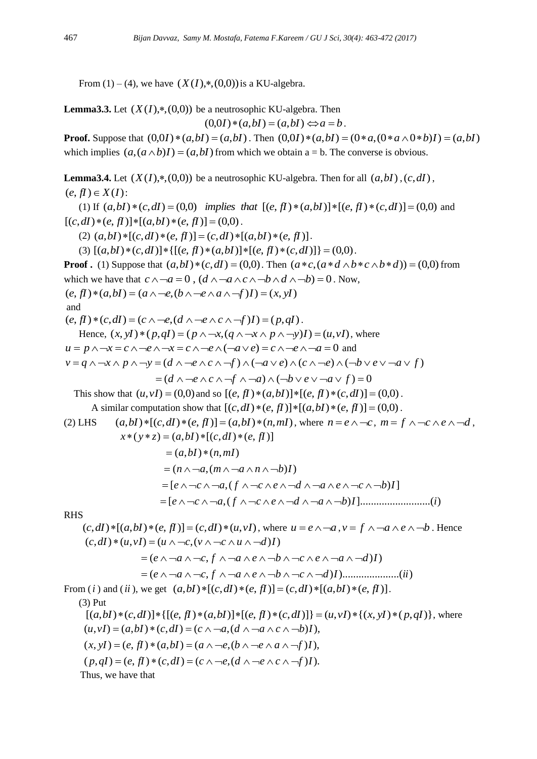From  $(1) - (4)$ , we have  $(X(I), *, (0,0))$  is a KU-algebra.

**Lemma3.3.** Let  $(X(I), *, (0,0))$  be a neutrosophic KU-algebra. Then

 $(0,0) * (a,b) = (a,b) \Leftrightarrow a = b$ .

**Proof.** Suppose that  $(0,0) * (a,b) = (a,b)$ . Then  $(0,0) * (a,b) = (0 * a, (0 * a \wedge 0 * b)) = (a,b)$ which implies  $(a, (a \wedge b)I) = (a, bI)$  from which we obtain  $a = b$ . The converse is obvious.

**Lemma3.4.** Let  $(X(I), *, (0,0))$  be a neutrosophic KU-algebra. Then for all  $(a, bl)$ ,  $(c, dl)$ ,  $(e, fI) \in X(I)$ : (1) If  $(a,bI)*(c,dI) = (0,0)$  *implies that*  $[(e,fI)*(a,bI)]*[(e,fI)*(c,dI)] = (0,0)$  and  $[(c, dI)*(e, fI)]*[ (a, bI)*(e, fI)] = (0,0).$  $(2)$   $(a,bI)*(c,dI)*(e,fI)] = (c,dI)*(a,bI)*(e,fI)].$ (3)  $[(a,bI)*(c,dI)]*[(e,fI)*(a,bI)]*[(e,fI)*(c,dI)] = (0,0).$ **Proof** . (1) Suppose that  $(a,bI)*(c,dI) = (0,0)$ . Then  $(a*c,(a*d \wedge b*c \wedge b*d)) = (0,0)$  from which we have that  $c \wedge \neg a = 0$ ,  $(d \wedge \neg a \wedge c \wedge \neg b \wedge d \wedge \neg b) = 0$ . Now,  $(e, f) * (a, b) = (a \land \neg e, (b \land \neg e \land a \land \neg f)) = (x, y)$ and  $(e, fI)*(c, dI) = (c \land \neg e, (d \land \neg e \land c \land \neg f)I) = (p, qI).$ and<br>  $(e, fI)*(c, dI) = (c \land \neg e, (d \land \neg e \land c \land \neg f)I) = (p, qI).$ <br>
Hence,  $(x, yI)*(p, qI) = (p \land \neg x, (q \land \neg x \land p \land \neg y)I) = (u, vI)$ , where  $u = p \land \neg x = c \land \neg e \land \neg x = c \land \neg e \land (\neg a \lor e) = c \land \neg e \land \neg a = 0$  and  $=( d \wedge \neg e \wedge c \wedge \neg f \wedge \neg a ) \wedge (\neg b \vee e \vee \neg a \vee f ) = 0$  $v = q \land \neg x \land p \land \neg y = (d \land \neg e \land c \land \neg f) \land (\neg a \lor e) \land (c \land \neg e) \land (\neg b \lor e \lor \neg a \lor f)$ This show that  $(u, vI) = (0,0)$  and so  $[(e, fl)*(a,bI)] * [(e, fl)*(c, dI)] = (0,0)$ . A similar computation show that  $[(c, dI) * (e, fI)] * [(a, bI) * (e, fI)] = (0, 0)$ . (2) LHS  $(a,bI)*[(c,dI)*(e,fI)] = (a,bI)*(n,mI)$ , where  $n = e \land \neg c$ ,  $m = f \land \neg c \land e \land \neg d$ , [ ,( ) ]..........................( ) *e c a f c e d a b I i*  $=[e \wedge \neg c \wedge \neg a, (f \wedge \neg c \wedge e \wedge \neg d \wedge \neg a \wedge e \wedge \neg c \wedge \neg b)I]$  $= (n \land \neg a, (m \land \neg a \land n \land \neg b)I)$  $=(a, bI) * (n, ml)$  $(y * z) = (a, bI) * [(c, dI) * (e, fI)]$  $(a, f) = (a, b)$ <br>  $(a, b) * [(c, d)]$ <br>  $(a, b) * (n, m]$  $x * (y * z) = (a, bI) * [(c, dI) * (e, fI)]$ RHS  $(c, dI) * [(a, bI) * (e, fI)] = (c, dI) * (u, vI)$ , where  $u = e \land \neg a, v = f \land \neg a \land e \land \neg b$ . Hence  $e = [e \land \neg c \land \neg a, (f \land \neg c \land e)$ <br> *c*,*dI*  $*(a, bI) * (e, fI) = (c, dI) * (u, vI)$ , wh<br>  $c, dI) * (u, vI) = (u \land \neg c, (v \land \neg c \land u \land \neg d)I)$ 

( , ) ).....................( ) ( , ) ) ( , ) ( , ) ( ,( ) ) *e a c f a e b c d I ii e a c f a e b c e a d I* From ( *i* ) and ( *ii* ), we get (*a*,*bI*)[(*c*,*dI*)(*e*, *fI*)] (*c*,*dI*)[(*a*,*bI*)(*e*, *fI*)]. [(*a*,*bI*)(*c*,*dI*)]{[(*e*, *fI*)(*a*,*bI*)][(*e*, *fI*)(*c*,*dI*)]} (*u*,*v I*){(*x*, *yI*)(*p*,*qI*)}

(3) Put

, where  $(p, qI) = (e, fl) * (c, dl) = (c \land \neg e, (d \land \neg e \land c \land \neg f)I).$  $(x, yI) = (e, fI) * (a,bI) = (a \land \neg e, (b \land \neg e \land a \land \neg f)I),$  $(u, vI) = (a, bl) * (c, dl) = (c \wedge \neg a, (d \wedge \neg a \wedge c \wedge \neg b)I),$ *u*  $[(a,bI)*(c,dI)]*([(e,fI)*(a,bI)]*[ (e,fI)*(c,dI)]$ <br> $(u,vI)=(a,bI)*(c,dI)=(c \land \neg a,(d \land \neg a \land c \land \neg b)I$ Thus, we have that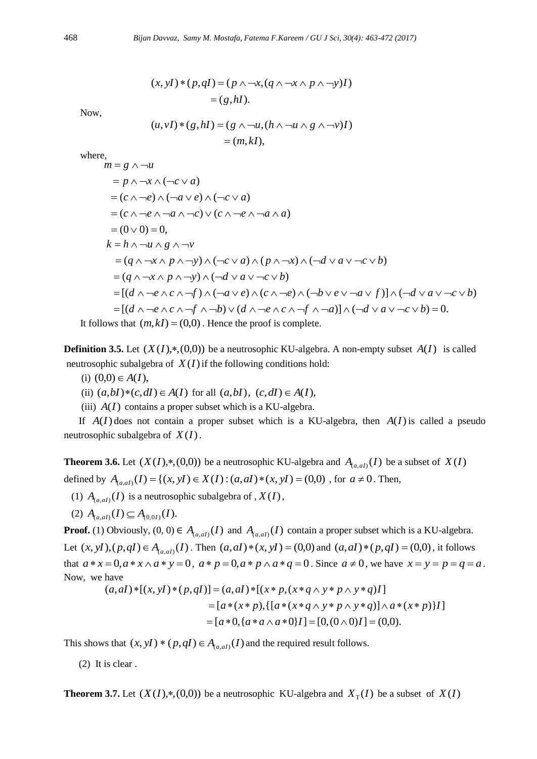$$
(x, yI)*(p, qI) = (p \land \neg x, (q \land \neg x \land p \land \neg y)I)
$$

$$
= (g, hI).
$$

Now,

$$
-(g,m).
$$
  
(*u*,*vI*) \* (*g*,*hl*) = (*g*  $\wedge \neg u$ , (*h*  $\wedge \neg u \wedge g \wedge \neg v$ )*I*)  
= (*m*,*kl*),

where,

$$
m = g \land \neg u
$$
  
\n
$$
= p \land \neg x \land (\neg c \lor a)
$$
  
\n
$$
= (c \land \neg e) \land (\neg a \lor e) \land (\neg c \lor a)
$$
  
\n
$$
= (c \land \neg e \land \neg a \land \neg c) \lor (c \land \neg e \land \neg a \land a)
$$
  
\n
$$
= (0 \lor 0) = 0,
$$
  
\n
$$
k = h \land \neg u \land g \land \neg v
$$
  
\n
$$
= (q \land \neg x \land p \land \neg y) \land (\neg c \lor a) \land (p \land \neg x) \land (\neg d \lor a \lor \neg c \lor b)
$$
  
\n
$$
= (q \land \neg x \land p \land \neg y) \land (\neg d \lor a \lor \neg c \lor b)
$$
  
\n
$$
= [(d \land \neg e \land c \land \neg f) \land (\neg a \lor e) \land (c \land \neg e) \land (\neg b \lor e \lor \neg a \lor f)] \land (\neg d \lor a \lor \neg c \lor b)
$$
  
\n
$$
= [(d \land \neg e \land c \land \neg f \land \neg b) \lor (d \land \neg e \land c \land \neg f \land \neg a)] \land (\neg d \lor a \lor \neg c \lor b) = 0.
$$

It follows that  $(m, kI) = (0,0)$ . Hence the proof is complete.

**Definition 3.5.** Let  $(X(I), *, (0,0))$  be a neutrosophic KU-algebra. A non-empty subset  $A(I)$  is called neutrosophic subalgebra of  $X(I)$  if the following conditions hold:

- (i)  $(0,0) \in A(I)$ ,
- (ii)  $(a,bI)*(c,dI) \in A(I)$  for all  $(a,bI)$ ,  $(c,dI) \in A(I)$ ,
- (iii)  $A(I)$  contains a proper subset which is a KU-algebra.

If  $A(I)$  does not contain a proper subset which is a KU-algebra, then  $A(I)$  is called a pseudo neutrosophic subalgebra of *X*(*I*).

**Theorem 3.6.** Let  $(X(I), *, (0,0))$  be a neutrosophic KU-algebra and  $A_{(a,a)}(I)$  be a subset of  $X(I)$ defined by  $A_{(a, aI)}(I) = \{(x, yI) \in X(I) : (a, aI) * (x, yI) = (0,0) \text{ for } a \neq 0 \text{. Then, }$ 

- (1)  $A_{(a,aI)}(I)$  is a neutrosophic subalgebra of ,  $X(I)$ ,
- (2)  $A_{(a, aI)}(I) \subseteq A_{(0, 0I)}(I).$

**Proof.** (1) Obviously,  $(0, 0) \in A_{(a,aI)}(I)$  and  $A_{(a,aI)}(I)$  contain a proper subset which is a KU-algebra. Let  $(x, yI), (p, qI) \in A_{(a, aI)}(I)$ . Then  $(a, aI) * (x, yI) = (0,0)$  and  $(a, aI) * (p, qI) = (0,0)$ , it follows that  $a * x = 0, a * x \wedge a * y = 0, a * p = 0, a * p \wedge a * q = 0$ . Since  $a \neq 0$ , we have  $x = y = p = q = a$ . Now, we have

$$
(a, aI) * [(x, yI) * (p, qI)] = (a, aI) * [(x * p, (x * q \land y * p \land y * q)I]
$$
  
= [a \* (x \* p), { [a \* (x \* q \land y \* p \land y \* q)] \land a \* (x \* p)}I]  
= [a \* 0, {a \* a \land a \* 0}I] = [0, (0 \land 0)I] = (0, 0).

This shows that  $(x, yI) * (p, qI) \in A_{(a, aI)}(I)$  and the required result follows.

(2) It is clear .

**Theorem 3.7.** Let  $(X(I), *, (0,0))$  be a neutrosophic KU-algebra and  $X_T(I)$  be a subset of  $X(I)$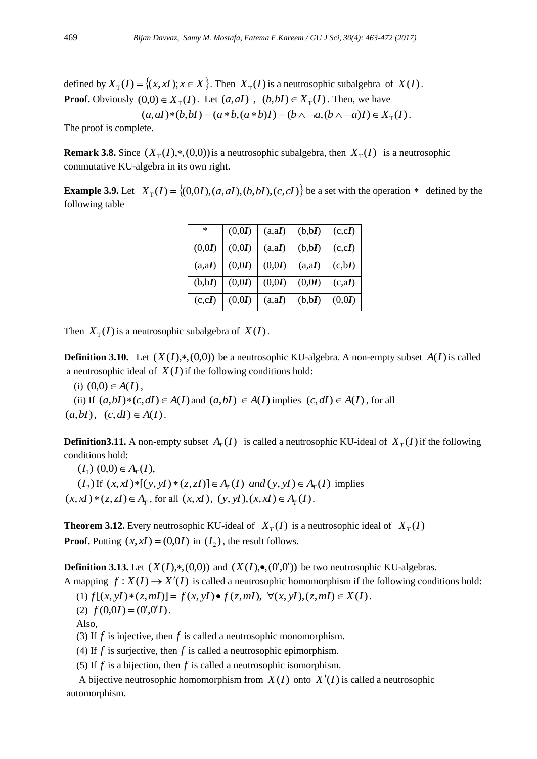defined by  $X_T(I) = \{(x, xI); x \in X\}$ . Then  $X_T(I)$  is a neutrosophic subalgebra of  $X(I)$ . **Proof.** Obviously  $(0,0) \in X_T(I)$ . Let  $(a, aI)$ ,  $(b, bI) \in X_T(I)$ . Then, we have  $(a, aI)*(b, bI) = (a * b, (a * b)I) = (b \land \neg a, (b \land \neg a)I) \in X_{\text{T}}(I).$ 

The proof is complete.

**Remark 3.8.** Since  $(X_T(I), \ast, (0,0))$  is a neutrosophic subalgebra, then  $X_T(I)$  is a neutrosophic commutative KU-algebra in its own right.

**Example 3.9.** Let  $X_T(I) = \{(0,0I), (a, aI), (b, bI), (c, cI)\}$  be a set with the operation  $*$  defined by the following table

| ∗       | (0,0I) | (a,aI) | (b,bI) | (c, cI) |
|---------|--------|--------|--------|---------|
| (0,0I)  | (0,0I) | (a,aI) | (b,bI) | (c, cI) |
| (a,aI)  | (0,0I) | (0,0I) | (a,aI) | (c, bI) |
| (b,bI)  | (0,0I) | (0,0I) | (0,0I) | (c, aI) |
| (c, cI) | (0,0I) | (a,aI) | (b,bI) | (0,0I)  |

Then  $X_T(I)$  is a neutrosophic subalgebra of  $X(I)$ .

**Definition 3.10.** Let  $(X(I), *,(0,0))$  be a neutrosophic KU-algebra. A non-empty subset  $A(I)$  is called a neutrosophic ideal of  $X(I)$  if the following conditions hold:

(i)  $(0,0) \in A(I)$ ,

(ii) If  $(a,bI)*(c,dI) \in A(I)$  and  $(a,bI) \in A(I)$  implies  $(c,dI) \in A(I)$ , for all  $(a, b)$ ,  $(c, d) \in A(I)$ .

**Definition3.11.** A non-empty subset  $A_T(I)$  is called a neutrosophic KU-ideal of  $X_T(I)$  if the following conditions hold:

 $(I_1)$   $(0,0) \in A_T(I)$ ,  $(I_2)$  If  $(x, xI) * [(y, yI) * (z, zI)] \in A_T(I)$  *and*  $(y, yI) \in A_T(I)$  implies  $(x, xI) * (z, zI) \in A_T$ , for all  $(x, xI)$ ,  $(y, yI)$ ,  $(x, xI) \in A_T(I)$ .

**Theorem 3.12.** Every neutrosophic KU-ideal of  $X_T(I)$  is a neutrosophic ideal of  $X_T(I)$ **Proof.** Putting  $(x, xI) = (0, 0I)$  in  $(I_2)$ , the result follows.

**Definition 3.13.** Let  $(X(I), *,(0,0))$  and  $(X(I), \bullet, (0',0'))$  be two neutrosophic KU-algebras.

A mapping  $f: X(I) \to X'(I)$  is called a neutrosophic homomorphism if the following conditions hold:  $f(x, yI) * (z, ml) = f(x, yI) \cdot f(z, ml), \forall (x, yI), (z, ml) \in X(I).$ 

(2)  $f(0,0I) = (0',0'I)$ .

Also,

(3) If  $f$  is injective, then  $f$  is called a neutrosophic monomorphism.

(4) If  $f$  is surjective, then  $f$  is called a neutrosophic epimorphism.

(5) If  $f$  is a bijection, then  $f$  is called a neutrosophic isomorphism.

A bijective neutrosophic homomorphism from  $X(I)$  onto  $X'(I)$  is called a neutrosophic automorphism.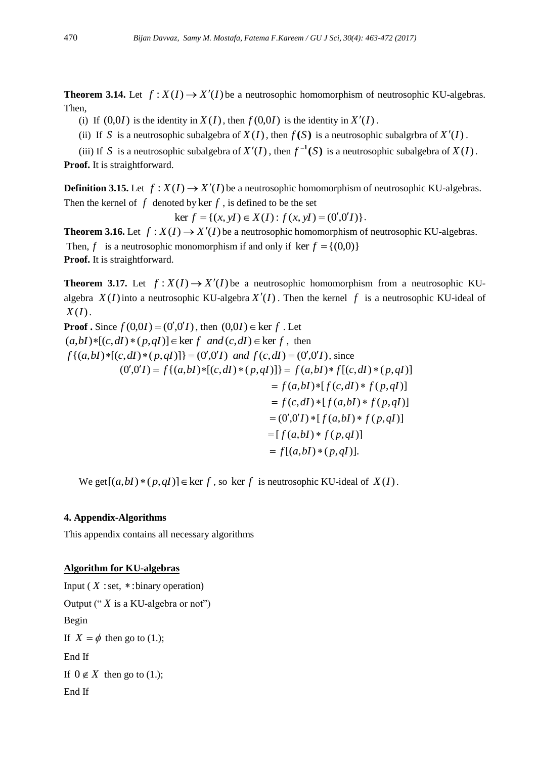**Theorem 3.14.** Let  $f: X(I) \to X'(I)$  be a neutrosophic homomorphism of neutrosophic KU-algebras. Then,

(i) If  $(0,0I)$  is the identity in  $X(I)$ , then  $f(0,0I)$  is the identity in  $X'(I)$ .

(ii) If S is a neutrosophic subalgebra of  $X(I)$ , then  $f(S)$  is a neutrosophic subalgrbra of  $X'(I)$ .

(iii) If S is a neutrosophic subalgebra of  $X'(I)$ , then  $f^{-1}(S)$  is a neutrosophic subalgebra of  $X(I)$ . **Proof.** It is straightforward.

**Definition 3.15.** Let  $f: X(I) \to X'(I)$  be a neutrosophic homomorphism of neutrosophic KU-algebras. Then the kernel of  $f$  denoted by  $\ker f$ , is defined to be the set

$$
\ker f = \{(x, yI) \in X(I) : f(x, yI) = (0', 0'I)\}.
$$

**Theorem 3.16.** Let  $f: X(I) \to X'(I)$  be a neutrosophic homomorphism of neutrosophic KU-algebras. Then, f is a neutrosophic monomorphism if and only if  $\ker f = \{(0,0)\}\$ **Proof.** It is straightforward.

**Theorem 3.17.** Let  $f: X(I) \to X'(I)$  be a neutrosophic homomorphism from a neutrosophic KUalgebra  $X(I)$  into a neutrosophic KU-algebra  $X'(I)$ . Then the kernel f is a neutrosophic KU-ideal of *X*(*I*).

**Proof**. Since  $f(0,0I) = (0',0'I)$ , then  $(0,0I) \in \text{ker } f$ . Let  $(a,bI) * [(c,dI) * (p,qI)] \in \text{ker } f$  *and*  $(c,dI) \in \text{ker } f$ , then  $f\{(a,bI)*( [c,dI)*(p,qI)] \} = (0',0'I)$  *and*  $f(c,dl) = (0',0'I)$ , since  $= f[(a, b]) * (p, q])$ .  $=[f(a,bI)*f(p,qI)]$  $f(p,qI)$  \*  $[f(a,bI) * f(p,qI)]$  $f(c, d) * [f(a, b]) * f(p, q)]$  $f(a,bI) * [f(c,dl) * f(p,ql)]$  $(0', 0'I) = f\{(a, bl)*(c, dl)*(p, qI)]\} = f(a, bl)*f[(c, dl)*(p, qI)]$ 

We get  $[(a,bI)*(p,qI)] \in \text{ker } f$ , so  $\text{ker } f$  is neutrosophic KU-ideal of  $X(I)$ .

# **4. Appendix-Algorithms**

This appendix contains all necessary algorithms

### **Algorithm for KU-algebras**

Input ( $X$ : set,  $*$ : binary operation) Output (" *X* is a KU-algebra or not") Begin If  $X = \phi$  then go to (1.); End If If  $0 \notin X$  then go to (1.); End If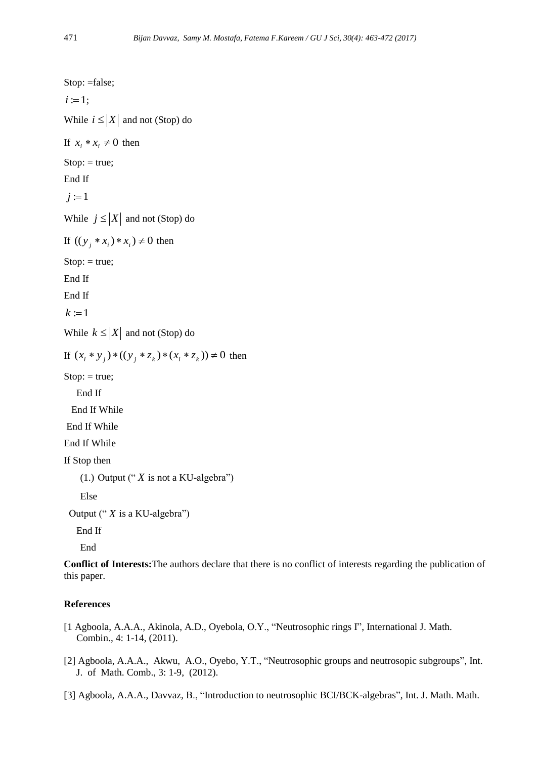Stop: =false;  $i := 1;$ While  $i \leq |X|$  and not (Stop) do If  $x_i * x_i \neq 0$  then  $Stop: = true;$ End If  $j := 1$ While  $j \leq |X|$  and not (Stop) do If  $((y_j * x_i) * x_i) \neq 0$  then  $Stop: = true;$ End If End If  $k := 1$ While  $k \leq |X|$  and not (Stop) do If  $(x_i * y_j) * ((y_j * z_k) * (x_i * z_k)) \neq 0$  then  $Stop: = true;$  End If End If While End If While End If While If Stop then (1.) Output (" *X* is not a KU-algebra") Else Output (" *X* is a KU-algebra") End If End **Conflict of Interests:**The authors declare that there is no conflict of interests regarding the publication of

## **References**

this paper.

- [1 Agboola, A.A.A., Akinola, A.D., Oyebola, O.Y., "Neutrosophic rings I", International J. Math. Combin., 4: 1-14, (2011).
- [2] Agboola, A.A.A., Akwu, A.O., Oyebo, Y.T., "Neutrosophic groups and neutrosopic subgroups", Int. J. of Math. Comb., 3: 1-9, (2012).
- [3] Agboola, A.A.A., Davvaz, B., "Introduction to neutrosophic BCI/BCK-algebras", Int. J. Math. Math.